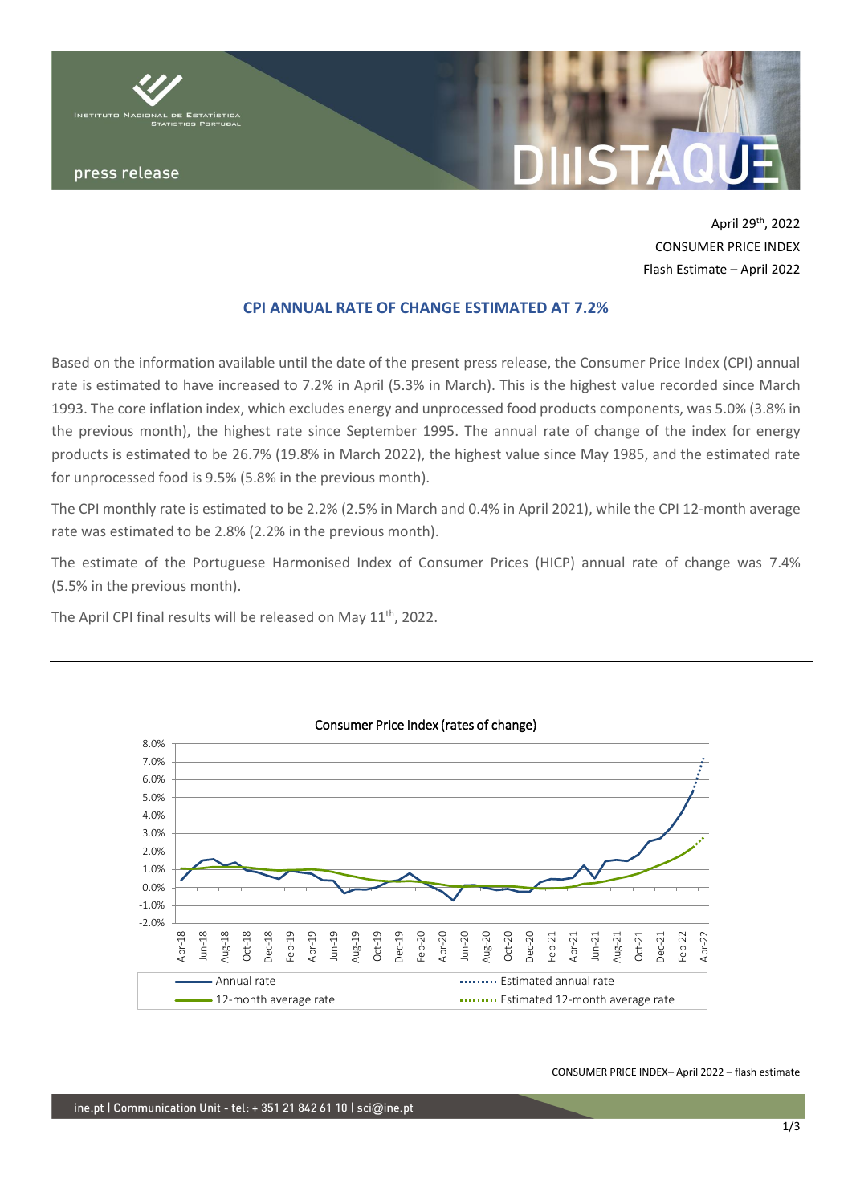

April 29th , 2022 CONSUMER PRICE INDEX Flash Estimate – April 2022

# **CPI ANNUAL RATE OF CHANGE ESTIMATED AT 7.2%**

Based on the information available until the date of the present press release, the Consumer Price Index (CPI) annual rate is estimated to have increased to 7.2% in April (5.3% in March). This is the highest value recorded since March 1993. The core inflation index, which excludes energy and unprocessed food products components, was 5.0% (3.8% in the previous month), the highest rate since September 1995. The annual rate of change of the index for energy products is estimated to be 26.7% (19.8% in March 2022), the highest value since May 1985, and the estimated rate for unprocessed food is 9.5% (5.8% in the previous month).

The CPI monthly rate is estimated to be 2.2% (2.5% in March and 0.4% in April 2021), while the CPI 12-month average rate was estimated to be 2.8% (2.2% in the previous month).

The estimate of the Portuguese Harmonised Index of Consumer Prices (HICP) annual rate of change was 7.4% (5.5% in the previous month).

The April CPI final results will be released on May 11<sup>th</sup>, 2022.



# Consumer Price Index (rates of change)

CONSUMER PRICE INDEX– April 2022 – flash estimate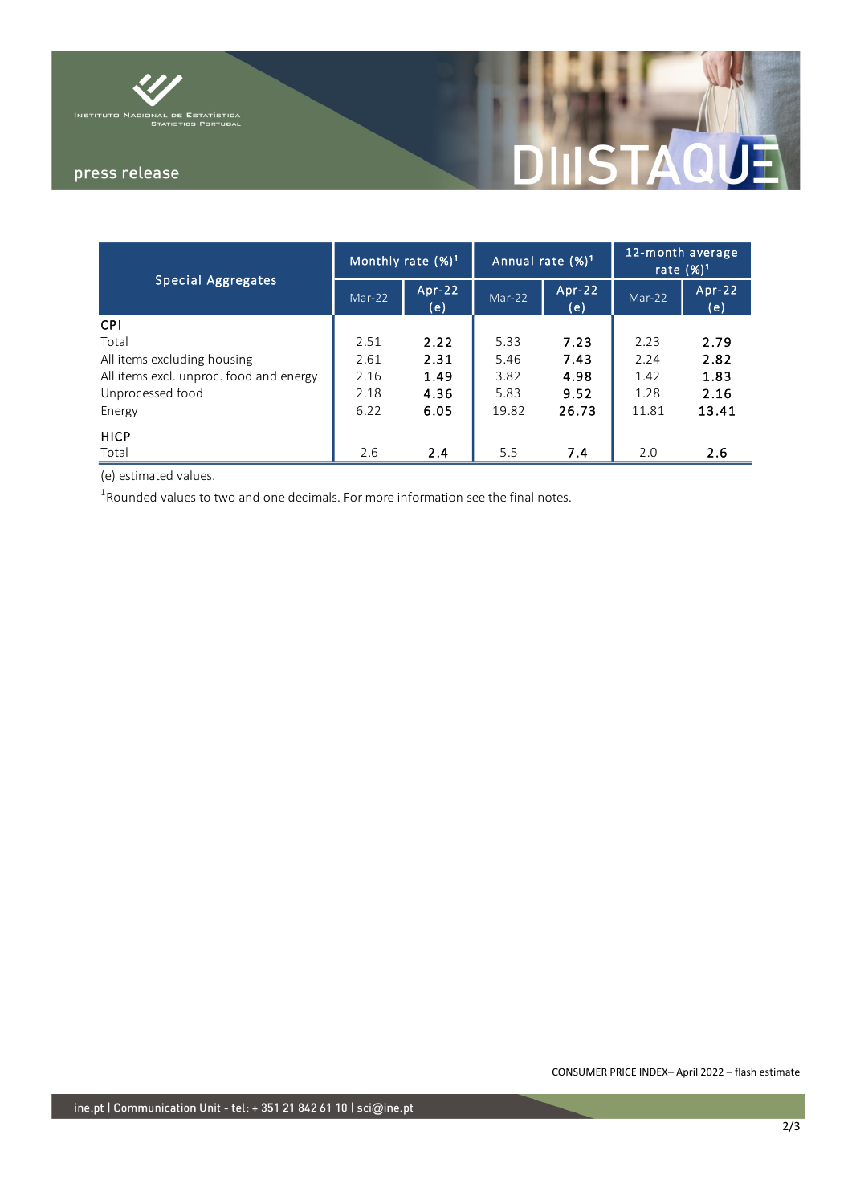

# press release

# T STAQI

| <b>Special Aggregates</b>               | Monthly rate $(\%)^1$ |                 | Annual rate $(\%)^1$ |                 | 12-month average<br>rate $(\%)^1$ |                 |
|-----------------------------------------|-----------------------|-----------------|----------------------|-----------------|-----------------------------------|-----------------|
|                                         | Mar-22                | $Apr-22$<br>(e) | Mar-22               | $Arr-22$<br>(e) | $Mar-22$                          | $Apr-22$<br>(e) |
| <b>CPI</b>                              |                       |                 |                      |                 |                                   |                 |
| Total                                   | 2.51                  | 2.22            | 5.33                 | 7.23            | 2.23                              | 2.79            |
| All items excluding housing             | 2.61                  | 2.31            | 5.46                 | 7.43            | 2.24                              | 2.82            |
| All items excl. unproc. food and energy | 2.16                  | 1.49            | 3.82                 | 4.98            | 1.42                              | 1.83            |
| Unprocessed food                        | 2.18                  | 4.36            | 5.83                 | 9.52            | 1.28                              | 2.16            |
| Energy                                  | 6.22                  | 6.05            | 19.82                | 26.73           | 11.81                             | 13.41           |
| <b>HICP</b>                             |                       |                 |                      |                 |                                   |                 |
| Total                                   | 2.6                   | 2.4             | 5.5                  | 7.4             | 2.0                               | 2.6             |

(e) estimated values.

 $^1$ Rounded values to two and one decimals. For more information see the final notes.

CONSUMER PRICE INDEX– April 2022 – flash estimate